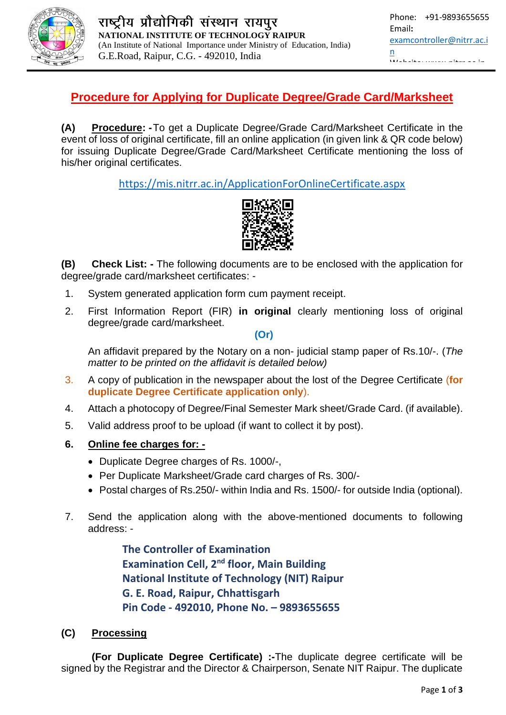

## **Procedure for Applying for Duplicate Degree/Grade Card/Marksheet**

**(A) Procedure: -**To get a Duplicate Degree/Grade Card/Marksheet Certificate in the event of loss of original certificate, fill an online application (in given link & QR code below) for issuing Duplicate Degree/Grade Card/Marksheet Certificate mentioning the loss of his/her original certificates.

<https://mis.nitrr.ac.in/ApplicationForOnlineCertificate.aspx>



**(B) Check List: -** The following documents are to be enclosed with the application for degree/grade card/marksheet certificates: -

- 1. System generated application form cum payment receipt.
- 2. First Information Report (FIR) **in original** clearly mentioning loss of original degree/grade card/marksheet.

**(Or)**

An affidavit prepared by the Notary on a non- judicial stamp paper of Rs.10/-. (*The matter to be printed on the affidavit is detailed below)*

- 3. A copy of publication in the newspaper about the lost of the Degree Certificate (**for duplicate Degree Certificate application only**).
- 4. Attach a photocopy of Degree/Final Semester Mark sheet/Grade Card. (if available).
- 5. Valid address proof to be upload (if want to collect it by post).
- **6. Online fee charges for: -**
	- Duplicate Degree charges of Rs. 1000/-,
	- Per Duplicate Marksheet/Grade card charges of Rs. 300/-
	- Postal charges of Rs.250/- within India and Rs. 1500/- for outside India (optional).
- 7. Send the application along with the above-mentioned documents to following address: -

**The Controller of Examination Examination Cell, 2nd floor, Main Building National Institute of Technology (NIT) Raipur G. E. Road, Raipur, Chhattisgarh Pin Code - 492010, Phone No. – 9893655655**

### **(C) Processing**

**(For Duplicate Degree Certificate) :-**The duplicate degree certificate will be signed by the Registrar and the Director & Chairperson, Senate NIT Raipur. The duplicate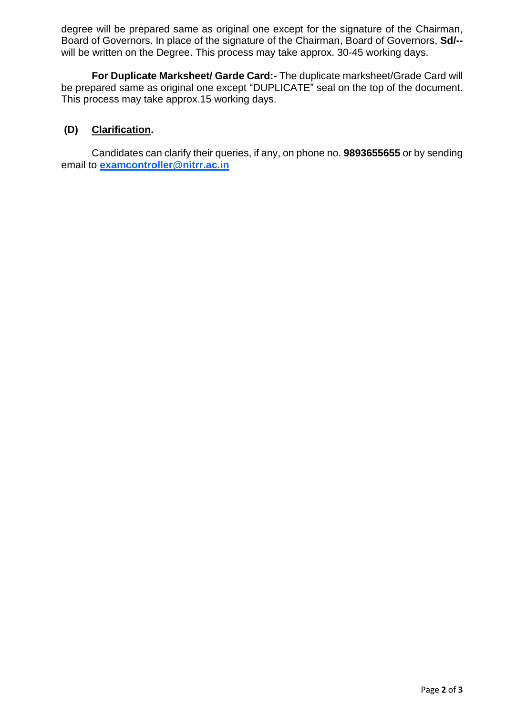degree will be prepared same as original one except for the signature of the Chairman, Board of Governors. In place of the signature of the Chairman, Board of Governors, **Sd/-** will be written on the Degree. This process may take approx. 30-45 working days.

**For Duplicate Marksheet/ Garde Card:-** The duplicate marksheet/Grade Card will be prepared same as original one except "DUPLICATE" seal on the top of the document. This process may take approx.15 working days.

### **(D) Clarification.**

Candidates can clarify their queries, if any, on phone no. **9893655655** or by sending email to **[examcontroller@nitrr.ac.in](mailto:examcontroller@nitrr.ac.in)**